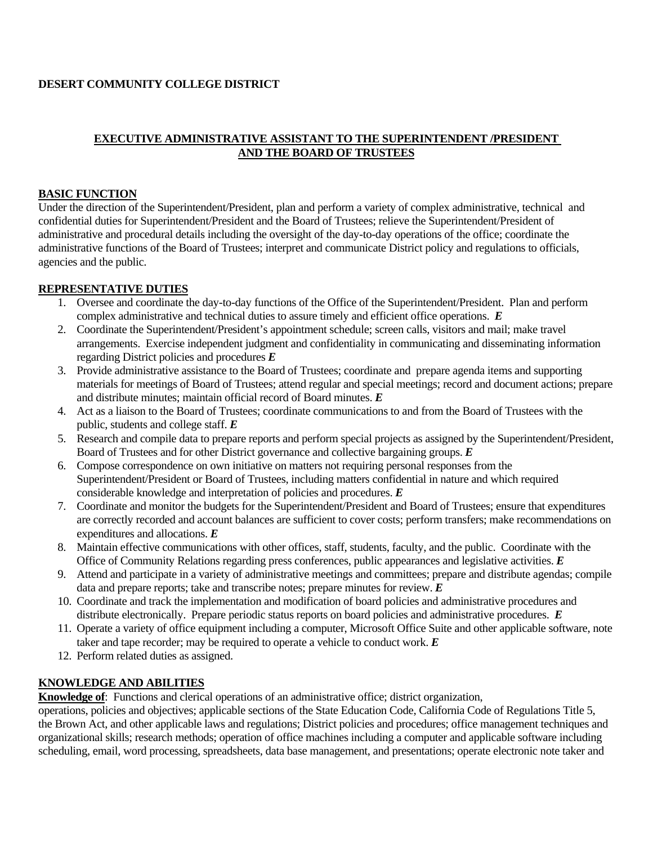### **DESERT COMMUNITY COLLEGE DISTRICT**

### **EXECUTIVE ADMINISTRATIVE ASSISTANT TO THE SUPERINTENDENT /PRESIDENT AND THE BOARD OF TRUSTEES**

### **BASIC FUNCTION**

Under the direction of the Superintendent/President, plan and perform a variety of complex administrative, technical and confidential duties for Superintendent/President and the Board of Trustees; relieve the Superintendent/President of administrative and procedural details including the oversight of the day-to-day operations of the office; coordinate the administrative functions of the Board of Trustees; interpret and communicate District policy and regulations to officials, agencies and the public.

### **REPRESENTATIVE DUTIES**

- 1. Oversee and coordinate the day-to-day functions of the Office of the Superintendent/President. Plan and perform complex administrative and technical duties to assure timely and efficient office operations. *E*
- 2. Coordinate the Superintendent/President's appointment schedule; screen calls, visitors and mail; make travel arrangements. Exercise independent judgment and confidentiality in communicating and disseminating information regarding District policies and procedures *E*
- 3. Provide administrative assistance to the Board of Trustees; coordinate and prepare agenda items and supporting materials for meetings of Board of Trustees; attend regular and special meetings; record and document actions; prepare and distribute minutes; maintain official record of Board minutes. *E*
- 4. Act as a liaison to the Board of Trustees; coordinate communications to and from the Board of Trustees with the public, students and college staff. *E*
- 5. Research and compile data to prepare reports and perform special projects as assigned by the Superintendent/President, Board of Trustees and for other District governance and collective bargaining groups. *E*
- 6. Compose correspondence on own initiative on matters not requiring personal responses from the Superintendent/President or Board of Trustees, including matters confidential in nature and which required considerable knowledge and interpretation of policies and procedures. *E*
- 7. Coordinate and monitor the budgets for the Superintendent/President and Board of Trustees; ensure that expenditures are correctly recorded and account balances are sufficient to cover costs; perform transfers; make recommendations on expenditures and allocations. *E*
- 8. Maintain effective communications with other offices, staff, students, faculty, and the public. Coordinate with the Office of Community Relations regarding press conferences, public appearances and legislative activities. *E*
- 9. Attend and participate in a variety of administrative meetings and committees; prepare and distribute agendas; compile data and prepare reports; take and transcribe notes; prepare minutes for review. *E*
- 10. Coordinate and track the implementation and modification of board policies and administrative procedures and distribute electronically. Prepare periodic status reports on board policies and administrative procedures. *E*
- 11. Operate a variety of office equipment including a computer, Microsoft Office Suite and other applicable software, note taker and tape recorder; may be required to operate a vehicle to conduct work. *E*
- 12. Perform related duties as assigned.

# **KNOWLEDGE AND ABILITIES**

**Knowledge of**: Functions and clerical operations of an administrative office; district organization,

operations, policies and objectives; applicable sections of the State Education Code, California Code of Regulations Title 5, the Brown Act, and other applicable laws and regulations; District policies and procedures; office management techniques and organizational skills; research methods; operation of office machines including a computer and applicable software including scheduling, email, word processing, spreadsheets, data base management, and presentations; operate electronic note taker and